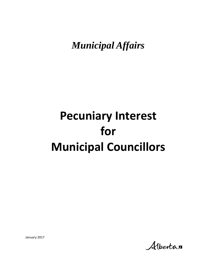*Municipal Affairs*

# **Pecuniary Interest for Municipal Councillors**

January 2017

Albertan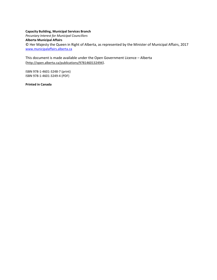#### **Capacity Building, Municipal Services Branch**

*Pecuniary Interest for Municipal Councillors* **Alberta Municipal Affairs**  © Her Majesty the Queen in Right of Alberta, as represented by the Minister of Municipal Affairs, 2017 [www.municipalaffairs.alberta.ca](http://www.municipalaffairs.alberta.ca/)

This document is made available under the Open Government Licence – Alberta (<http://open.alberta.ca/publications/9781460132494>).

ISBN 978-1-4601-3248-7 (print) ISBN 978-1-4601-3249-4 (PDF)

**Printed in Canada**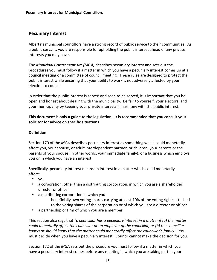## **Pecuniary Interest**

Alberta's municipal councillors have a strong record of public service to their communities. As a public servant, you are responsible for upholding the public interest ahead of any private interests you may have.

The *Municipal Government Act (MGA)* describes pecuniary interest and sets out the procedures you must follow if a matter in which you have a pecuniary interest comes up at a council meeting or a committee of council meeting. These rules are designed to protect the public interest while ensuring that your ability to work is not adversely affected by your election to council.

In order that the public interest is served and seen to be served, it is important that you be open and honest about dealing with the municipality. Be fair to yourself, your electors, and your municipality by keeping your private interests in harmony with the public interest.

## **This document is only a guide to the legislation. It is recommended that you consult your solicitor for advice on specific situations.**

### **Definition**

Section 170 of the *MGA* describes pecuniary interest as something which could monetarily affect you, your spouse, or adult interdependent partner, or children, your parents or the parents of your spouse (in other words, your immediate family), or a business which employs you or in which you have an interest.

Specifically, pecuniary interest means an interest in a matter which could monetarily affect:

- you
- a corporation, other than a distributing corporation, in which you are a shareholder, director or officer
- a distributing corporation in which you
	- beneficially own voting shares carrying at least 10% of the voting rights attached to the voting shares of the corporation or of which you are a director or officer
- a partnership or firm of which you are a member.

This section also says that *"a councillor has a pecuniary interest in a matter if (a) the matter could monetarily affect the councillor or an employer of the councillor, or (b) the councillor knows or should know that the matter could monetarily affect the councillor's family."* You must decide when you have a pecuniary interest. Council cannot make the decision for you.

Section 172 of the *MGA* sets out the procedure you must follow if a matter in which you have a pecuniary interest comes before any meeting in which you are taking part in your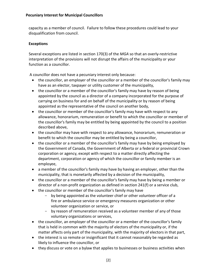capacity as a member of council. Failure to follow these procedures could lead to your disqualification from council.

## **Exceptions**

Several exceptions are listed in section 170(3) of the *MGA* so that an overly-restrictive interpretation of the provisions will not disrupt the affairs of the municipality or your function as a councillor.

A councillor does not have a pecuniary interest only because:

- the councillor, an employer of the councillor or a member of the councillor's family may have as an elector, taxpayer or utility customer of the municipality,
- the councillor or a member of the councillor's family may have by reason of being appointed by the council as a director of a company incorporated for the purpose of carrying on business for and on behalf of the municipality or by reason of being appointed as the representative of the council on another body,
- the councillor or member of the councillor's family may have with respect to any allowance, honorarium, remuneration or benefit to which the councillor or member of the councillor's family may be entitled by being appointed by the council to a position described above,
- the councillor may have with respect to any allowance, honorarium, remuneration or benefit to which the councillor may be entitled by being a councillor,
- the councillor or a member of the councillor's family may have by being employed by the Government of Canada, the Government of Alberta or a federal or provincial Crown corporation or agency, except with respect to a matter directly affecting the department, corporation or agency of which the councillor or family member is an employee,
- a member of the councillor's family may have by having an employer, other than the municipality, that is monetarily affected by a decision of the municipality,
- the councillor or a member of the councillor's family may have by being a member or director of a non-profit organization as defined in section 241(f) or a service club,
- the councillor or member of the councillor's family may have
	- by being appointed as the volunteer chief or other volunteer officer of a fire or ambulance service or emergency measures organization or other volunteer organization or service, or
	- by reason of remuneration received as a volunteer member of any of those voluntary organizations or services,
- the councillor, an employer of the councillor or a member of the councillor's family that is held in common with the majority of electors of the municipality or, if the matter affects only part of the municipality, with the majority of electors in that part,
- the interest is so remote or insignificant that it cannot reasonably be regarded as likely to influence the councillor, or
- they discuss or vote on a bylaw that applies to businesses or business activities when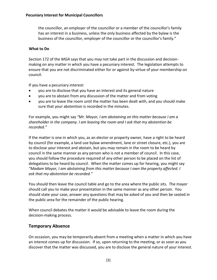the councillor, an employer of the councillor or a member of the councillor's family has an interest in a business, unless the only business affected by the bylaw is the business of the councillor, employer of the councillor or the councillor's family."

## **What to Do**

Section 172 of the *MGA* says that you may not take part in the discussion and decisionmaking on any matter in which you have a pecuniary interest. The legislation attempts to ensure that you are not discriminated either for or against by virtue of your membership on council.

If you have a pecuniary interest:

- you are to disclose that you have an interest and its general nature
- you are to abstain from any discussion of the matter and from voting
- you are to leave the room until the matter has been dealt with, and you should make sure that your abstention is recorded in the minutes.

For example, you might say *"Mr. Mayor, I am abstaining on this matter because I am a shareholder in the company. I am leaving the room and I ask that my abstention be recorded."*

If the matter is one in which you, as an elector or property owner, have a right to be heard by council (for example, a land use bylaw amendment, lane or street closure, etc.), you are to disclose your interest and abstain, but you may remain in the room to be heard by council in the same manner as any person who is not a member of council. In this case, you should follow the procedure required of any other person to be placed on the list of delegations to be heard by council. When the matter comes up for hearing, you might say *"Madam Mayor, I am abstaining from this matter because I own the property affected. I ask that my abstention be recorded."*

You should then leave the council table and go to the area where the public sits. The mayor should call you to make your presentation in the same manner as any other person. You should state your case, answer any questions that may be asked of you and then be seated in the public area for the remainder of the public hearing.

When council debates the matter it would be advisable to leave the room during the decision-making process.

## **Temporary Absence**

On occasion, you may be temporarily absent from a meeting when a matter in which you have an interest comes up for discussion. If so, upon returning to the meeting, or as soon as you discover that the matter was discussed, you are to disclose the general nature of your interest.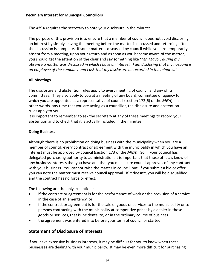The *MGA* requires the secretary to note your disclosure in the minutes.

The purpose of this provision is to ensure that a member of council does not avoid disclosing an interest by simply leaving the meeting before the matter is discussed and returning after the discussion is complete. If some matter is discussed by council while you are temporarily absent from a meeting, upon your return and as soon as you become aware of the matter, you should get the attention of the chair and say something like *"Mr. Mayor, during my absence a matter was discussed in which I have an interest. I am disclosing that my husband is an employee of the company and I ask that my disclosure be recorded in the minutes."*

## **All Meetings**

The disclosure and abstention rules apply to every meeting of council and any of its committees. They also apply to you at a meeting of any board, committee or agency to which you are appointed as a representative of council (section 172(6) of the *MGA*). In other words, any time that you are acting as a councillor, the disclosure and abstention rules apply to you.

It is important to remember to ask the secretary at any of these meetings to record your abstention and to check that it is actually included in the minutes.

### **Doing Business**

Although there is no prohibition on doing business with the municipality when you are a member of council, every contract or agreement with the municipality in which you have an interest must be approved by council (section 173 of the *MGA*). So, if your council has delegated purchasing authority to administration, it is important that those officials know of any business interests that you have and that you make sure council approves of any contract with your business. You cannot raise the matter in council, but, if you submit a bid or offer, you can note the matter must receive council approval. If it doesn't, you will be disqualified and the contract has no force or effect.

The following are the only exceptions:

- if the contract or agreement is for the performance of work or the provision of a service in the case of an emergency, or
- if the contract or agreement is for the sale of goods or services to the municipality or to persons contracting with the municipality at competitive prices by a dealer in those goods or services, that is incidental to, or in the ordinary course of business
- the agreement was entered into before your term of councillor started

## **Statement of Disclosure of Interests**

If you have extensive business interests, it may be difficult for you to know when these businesses are dealing with your municipality. It may be even more difficult for purchasing